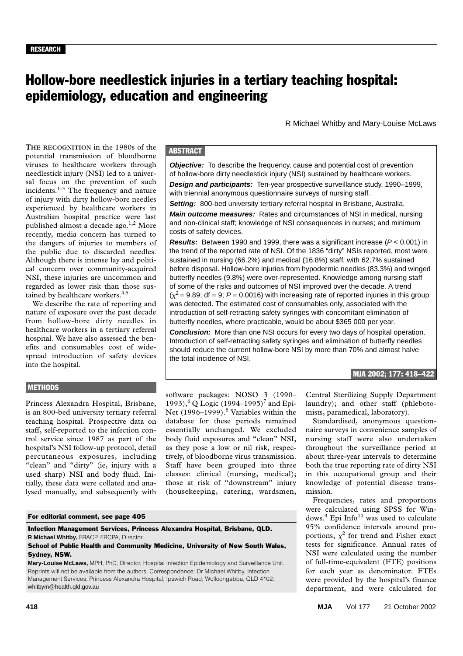# Hollow-bore needlestick injuries in a tertiary teaching hospital: epidemiology, education and engineering

R Michael Whitby and Mary-Louise McLaws

viruses to healthcare workers through needlestick injury (NSI) led to a universal focus on the prevention of such  $\frac{1}{3}$  The frequency and nature incidents. $1-3$  The frequency and nature of injury with dirty hollow-bore needles **THE RECOGNITION** in the 1980s of the potential transmission of bloodborne experienced by healthcare workers in Australian hospital practice were last published almost a decade ago.<sup>1,2</sup> More recently, media concern has turned to the dangers of injuries to members of the public due to discarded needles. Although there is intense lay and political concern over community-acquired NSI, these injuries are uncommon and regarded as lower risk than those sustained by healthcare workers.<sup>4,5</sup>

We describe the rate of reporting and nature of exposure over the past decade from hollow-bore dirty needles in healthcare workers in a tertiary referral hospital. We have also assessed the benefits and consumables cost of widespread introduction of safety devices into the hospital.

### **METHODS**

Princess Alexandra Hospital, Brisbane, is an 800-bed university tertiary referral teaching hospital. Prospective data on staff, self-reported to the infection control service since 1987 as part of the hospital's NSI follow-up protocol, detail percutaneous exposures, including "clean" and "dirty" (ie, injury with a used sharp) NSI and body fluid. Initially, these data were collated and analysed manually, and subsequently with

# **ABSTRACT**

**Objective:** To describe the frequency, cause and potential cost of prevention of hollow-bore dirty needlestick injury (NSI) sustained by healthcare workers.

**Design and participants:** Ten-year prospective surveillance study, 1990–1999, with triennial anonymous questionnaire surveys of nursing staff.

**Setting:** 800-bed university tertiary referral hospital in Brisbane, Australia. **Main outcome measures:** Rates and circumstances of NSI in medical, nursing and non-clinical staff; knowledge of NSI consequences in nurses; and minimum costs of safety devices.

**Results:** Between 1990 and 1999, there was a significant increase (P < 0.001) in the trend of the reported rate of NSI. Of the 1836 "dirty" NSIs reported, most were sustained in nursing (66.2%) and medical (16.8%) staff, with 62.7% sustained before disposal. Hollow-bore injuries from hypodermic needles (83.3%) and winged butterfly needles (9.8%) were over-represented. Knowledge among nursing staff of some of the risks and outcomes of NSI improved over the decade. A trend  $(x^2 = 9.89; df = 9; P = 0.0016)$  with increasing rate of reported injuries in this group was detected. The estimated cost of consumables only, associated with the introduction of self-retracting safety syringes with concomitant elimination of butterfly needles, where practicable, would be about \$365 000 per year.

**Conclusion:** More than one NSI occurs for every two days of hospital operation. Introduction of self-retracting safety syringes and elimination of butterfly needles should reduce the current hollow-bore NSI by more than 70% and almost halve the total incidence of NSI.

#### MJA 2002; 177: 418–422

software packages: NOSO 3 (1990– 1993),<sup>6</sup> Q Logic (1994–1995)<sup>7</sup> and Epi-Net  $(1996-1999)$ .<sup>8</sup> Variables within the database for these periods remained essentially unchanged. We excluded body fluid exposures and "clean" NSI, as they pose a low or nil risk, respectively, of bloodborne virus transmission. Staff have been grouped into three classes: clinical (nursing, medical); those at risk of "downstream" injury (housekeeping, catering, wardsmen,

For editorial comment, see page 405

Infection Management Services, Princess Alexandra Hospital, Brisbane, QLD. **R Michael Whitby,** FRACP, FRCPA, Director.

School of Public Health and Community Medicine, University of New South Wales, Sydney, NSW.

**Mary-Louise McLaws,** MPH, PhD, Director, Hospital Infection Epidemiology and Surveillance Unit. Reprints will not be available from the authors. Correspondence: Dr Michael Whitby, Infection Management Services, Princess Alexandra Hospital, Ipswich Road, Wolloongabba, QLD 4102. whitbym@health.qld.gov.au

Central Sterilizing Supply Department laundry); and other staff (phlebotomists, paramedical, laboratory).

Standardised, anonymous questionnaire surveys in convenience samples of nursing staff were also undertaken throughout the surveillance period at about three-year intervals to determine both the true reporting rate of dirty NSI in this occupational group and their knowledge of potential disease transmission.

Frequencies, rates and proportions were calculated using SPSS for Windows.<sup>9</sup> Epi Info<sup>10</sup> was used to calculate 95% confidence intervals around proportions,  $\chi^2$  for trend and Fisher exact tests for significance. Annual rates of NSI were calculated using the number of full-time-equivalent (FTE) positions for each year as denominator. FTEs were provided by the hospital's finance department, and were calculated for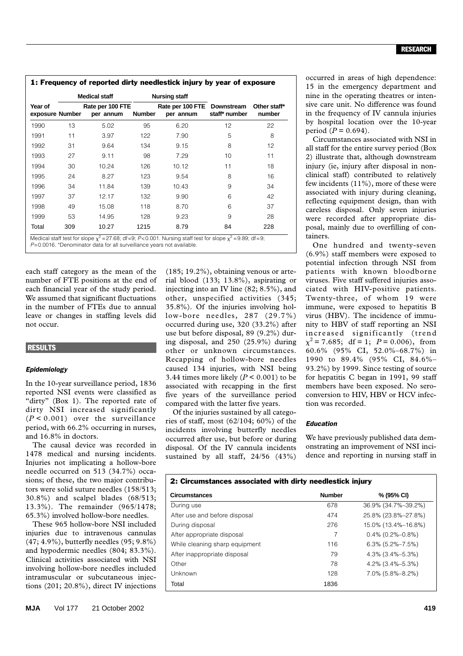#### RESEARCH

|                            | <b>Medical staff</b><br>Rate per 100 FTE<br>per annum |       |               | <b>Nursing staff</b>                     | staff* number | Other staff*<br>number |
|----------------------------|-------------------------------------------------------|-------|---------------|------------------------------------------|---------------|------------------------|
| Year of<br>exposure Number |                                                       |       | <b>Number</b> | Rate per 100 FTE Downstream<br>per annum |               |                        |
| 1990                       | 13                                                    | 5.02  | 95            | 6.20                                     | 12            | 22                     |
| 1991                       | 11                                                    | 3.97  | 122           | 7.90                                     | 5             | 8                      |
| 1992                       | 31                                                    | 9.64  | 134           | 9.15                                     | 8             | 12                     |
| 1993                       | 27                                                    | 9.11  | 98            | 7.29                                     | 10            | 11                     |
| 1994                       | 30                                                    | 10.24 | 126           | 10.12                                    | 11            | 18                     |
| 1995                       | 24                                                    | 8.27  | 123           | 9.54                                     | 8             | 16                     |
| 1996                       | 34                                                    | 11.84 | 139           | 10.43                                    | 9             | 34                     |
| 1997                       | 37                                                    | 12.17 | 132           | 9.90                                     | 6             | 42                     |
| 1998                       | 49                                                    | 15.08 | 118           | 8.70                                     | 6             | 37                     |
| 1999                       | 53                                                    | 14.95 | 128           | 9.23                                     | 9             | 28                     |
| Total                      | 309                                                   | 10.27 | 1215          | 8.79                                     | 84            | 228                    |

*P*=0.0016. \*Denominator data for all surveillance years not available.

each staff category as the mean of the number of FTE positions at the end of each financial year of the study period. We assumed that significant fluctuations in the number of FTEs due to annual leave or changes in staffing levels did not occur.

#### **RESULTS**

#### *Epidemiology*

In the 10-year surveillance period, 1836 reported NSI events were classified as "dirty" (Box 1). The reported rate of dirty NSI increased significantly  $(P < 0.001)$  over the surveillance period, with 66.2% occurring in nurses, and 16.8% in doctors.

The causal device was recorded in 1478 medical and nursing incidents. Injuries not implicating a hollow-bore needle occurred on 513 (34.7%) occasions; of these, the two major contributors were solid suture needles (158/513; 30.8%) and scalpel blades (68/513; 13.3%). The remainder (965/1478; 65.3%) involved hollow-bore needles.

These 965 hollow-bore NSI included injuries due to intravenous cannulas (47; 4.9%), butterfly needles (95; 9.8%) and hypodermic needles (804; 83.3%). Clinical activities associated with NSI involving hollow-bore needles included intramuscular or subcutaneous injections (201; 20.8%), direct IV injections

(185; 19.2%), obtaining venous or arterial blood (133; 13.8%), aspirating or injecting into an IV line (82; 8.5%), and other, unspecified activities (345; 35.8%). Of the injuries involving hollow-bore needles, 287 (29.7%) occurred during use, 320 (33.2%) after use but before disposal, 89 (9.2%) during disposal, and 250 (25.9%) during other or unknown circumstances. Recapping of hollow-bore needles caused 134 injuries, with NSI being 3.44 times more likely  $(P < 0.001)$  to be associated with recapping in the first five years of the surveillance period compared with the latter five years.

Of the injuries sustained by all categories of staff, most (62/104; 60%) of the incidents involving butterfly needles occurred after use, but before or during disposal. Of the IV cannula incidents sustained by all staff, 24/56 (43%)

occurred in areas of high dependence: 15 in the emergency department and nine in the operating theatres or intensive care unit. No difference was found in the frequency of IV cannula injuries by hospital location over the 10-year period  $(P = 0.694)$ .

Circumstances associated with NSI in all staff for the entire survey period (Box 2) illustrate that, although downstream injury (ie, injury after disposal in nonclinical staff) contributed to relatively few incidents (11%), more of these were associated with injury during cleaning, reflecting equipment design, than with careless disposal. Only seven injuries were recorded after appropriate disposal, mainly due to overfilling of containers.

One hundred and twenty-seven (6.9%) staff members were exposed to potential infection through NSI from patients with known bloodborne viruses. Five staff suffered injuries associated with HIV-positive patients. Twenty-three, of whom 19 were immune, were exposed to hepatitis B virus (HBV). The incidence of immunity to HBV of staff reporting an NSI increased significantly (trend  $\chi^2$  = 7.685; df = 1; *P* = 0.006), from 60.6% (95% CI, 52.0%–68.7%) in 1990 to 89.4% (95% CI, 84.6%– 93.2%) by 1999. Since testing of source for hepatitis C began in 1991, 99 staff members have been exposed. No seroconversion to HIV, HBV or HCV infection was recorded.

#### *Education*

We have previously published data demonstrating an improvement of NSI incidence and reporting in nursing staff in

| 2: Circumstances associated with dirty needlestick injury |               |                     |  |  |  |  |
|-----------------------------------------------------------|---------------|---------------------|--|--|--|--|
| <b>Circumstances</b>                                      | <b>Number</b> | % (95% CI)          |  |  |  |  |
| During use                                                | 678           | 36.9% (34.7%-39.2%) |  |  |  |  |
| After use and before disposal                             | 474           | 25.8% (23.8%-27.8%) |  |  |  |  |
| During disposal                                           | 276           | 15.0% (13.4%-16.8%) |  |  |  |  |
| After appropriate disposal                                | 7             | $0.4\%$ (0.2%-0.8%) |  |  |  |  |
| While cleaning sharp equipment                            | 116           | $6.3\%$ (5.2%-7.5%) |  |  |  |  |
| After inappropriate disposal                              | 79            | $4.3\%$ (3.4%-5.3%) |  |  |  |  |
| Other                                                     | 78            | $4.2\%$ (3.4%-5.3%) |  |  |  |  |
| Unknown                                                   | 128           | $7.0\%$ (5.8%-8.2%) |  |  |  |  |
| Total                                                     | 1836          |                     |  |  |  |  |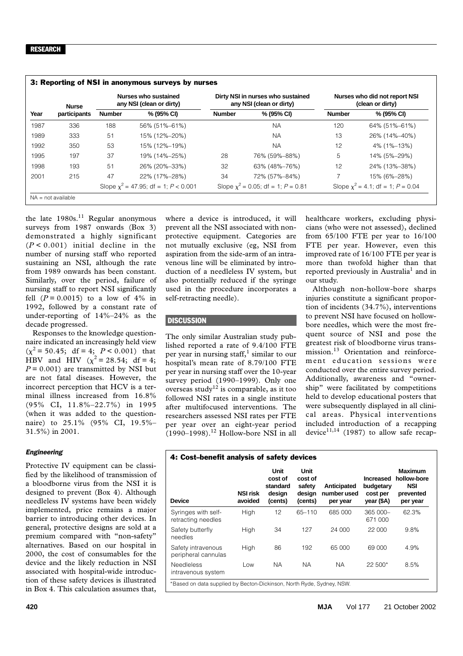|      | <b>Nurse</b><br>participants | Nurses who sustained<br>any NSI (clean or dirty) |                                           | Dirty NSI in nurses who sustained<br>any NSI (clean or dirty) |                                      | Nurses who did not report NSI<br>(clean or dirty) |                                        |
|------|------------------------------|--------------------------------------------------|-------------------------------------------|---------------------------------------------------------------|--------------------------------------|---------------------------------------------------|----------------------------------------|
| Year |                              | <b>Number</b>                                    | % (95% CI)                                | <b>Number</b>                                                 | % (95% CI)                           | <b>Number</b>                                     | % (95% CI)                             |
| 1987 | 336                          | 188                                              | 56% (51%-61%)                             |                                                               | <b>NA</b>                            | 120                                               | 64% (51%-61%)                          |
| 1989 | 333                          | 51                                               | 15% (12%-20%)                             |                                                               | <b>NA</b>                            | 13                                                | 26% (14%-40%)                          |
| 1992 | 350                          | 53                                               | 15% (12%-19%)                             |                                                               | <b>NA</b>                            | 12                                                | 4% (1%–13%)                            |
| 1995 | 197                          | 37                                               | 19% (14%–25%)                             | 28                                                            | 76% (59%-88%)                        | 5                                                 | 14% (5%-29%)                           |
| 1998 | 193                          | 51                                               | 26% (20%-33%)                             | 32                                                            | 63% (48%-76%)                        | 12                                                | 24% (13%-38%)                          |
| 2001 | 215                          | 47                                               | 22% (17%-28%)                             | 34                                                            | 72% (57%-84%)                        |                                                   | 15% (6%-28%)                           |
|      |                              |                                                  | Slope $\chi^2$ = 47.95; df = 1; P < 0.001 |                                                               | Slope $x^2$ = 0.05; df = 1; P = 0.81 |                                                   | Slope $\chi^2$ = 4.1; df = 1; P = 0.04 |

the late  $1980s$ .<sup>11</sup> Regular anonymous surveys from 1987 onwards (Box 3) demonstrated a highly significant  $(P < 0.001)$  initial decline in the number of nursing staff who reported sustaining an NSI, although the rate from 1989 onwards has been constant. Similarly, over the period, failure of nursing staff to report NSI significantly fell  $(P = 0.0015)$  to a low of 4% in 1992, followed by a constant rate of under-reporting of 14%–24% as the decade progressed.

Responses to the knowledge questionnaire indicated an increasingly held view  $(\chi^2 = 50.45; df = 4; P < 0.001)$  that HBV and HIV ( $\chi^2 = 28.54$ ; df = 4;  $P = 0.001$ ) are transmitted by NSI but are not fatal diseases. However, the incorrect perception that HCV is a terminal illness increased from 16.8% (95% CI, 11.8%–22.7%) in 1995 (when it was added to the questionnaire) to 25.1% (95% CI, 19.5%– 31.5%) in 2001.

#### *Engineering*

Protective IV equipment can be classified by the likelihood of transmission of a bloodborne virus from the NSI it is designed to prevent (Box 4). Although needleless IV systems have been widely implemented, price remains a major barrier to introducing other devices. In general, protective designs are sold at a premium compared with "non-safety" alternatives. Based on our hospital in 2000, the cost of consumables for the device and the likely reduction in NSI associated with hospital-wide introduction of these safety devices is illustrated in Box 4. This calculation assumes that,

where a device is introduced, it will prevent all the NSI associated with nonprotective equipment. Categories are not mutually exclusive (eg, NSI from aspiration from the side-arm of an intravenous line will be eliminated by introduction of a needleless IV system, but also potentially reduced if the syringe used in the procedure incorporates a self-retracting needle).

## **DISCUSSION**

The only similar Australian study published reported a rate of 9.4/100 FTE per year in nursing staff,<sup>1</sup> similar to our hospital's mean rate of 8.79/100 FTE per year in nursing staff over the 10-year survey period (1990–1999). Only one  $\frac{1}{2}$  overseas study<sup>12</sup> is comparable, as it too followed NSI rates in a single institute after multifocused interventions. The researchers assessed NSI rates per FTE per year over an eight-year period  $(1990-1998).$ <sup>12</sup> Hollow-bore NSI in all healthcare workers, excluding physicians (who were not assessed), declined from 65/100 FTE per year to 16/100 FTE per year. However, even this improved rate of 16/100 FTE per year is more than twofold higher than that reported previously in Australia<sup>1</sup> and in our study.

Although non-hollow-bore sharps injuries constitute a significant proportion of incidents (34.7%), interventions to prevent NSI have focused on hollowbore needles, which were the most frequent source of NSI and pose the greatest risk of bloodborne virus transmission.<sup>13</sup> Orientation and reinforcement education sessions were conducted over the entire survey period. Additionally, awareness and "ownership" were facilitated by competitions held to develop educational posters that were subsequently displayed in all clinical areas. Physical interventions included introduction of a recapping device<sup>11,14</sup> (1987) to allow safe recap-

| 4: Cost-benefit analysis of safety devices                            |                            |                                                  |                                                |                                        |                                                         |                                                                      |  |
|-----------------------------------------------------------------------|----------------------------|--------------------------------------------------|------------------------------------------------|----------------------------------------|---------------------------------------------------------|----------------------------------------------------------------------|--|
| <b>Device</b>                                                         | <b>NSI risk</b><br>avoided | Unit<br>cost of<br>standard<br>design<br>(cents) | Unit<br>cost of<br>safety<br>design<br>(cents) | Anticipated<br>number used<br>per year | <b>Increased</b><br>budgetary<br>cost per<br>year (\$A) | <b>Maximum</b><br>hollow-bore<br><b>NSI</b><br>prevented<br>per year |  |
| Syringes with self-<br>retracting needles                             | High                       | 12                                               | $65 - 110$                                     | 685 000                                | $365000 -$<br>671 000                                   | 62.3%                                                                |  |
| Safety butterfly<br>needles                                           | High                       | 34                                               | 127                                            | 24 000                                 | 22 000                                                  | 9.8%                                                                 |  |
| Safety intravenous<br>peripheral cannulas                             | High                       | 86                                               | 192                                            | 65 000                                 | 69 000                                                  | 4.9%                                                                 |  |
| <b>Needleless</b><br>intravenous system                               | Low                        | <b>NA</b>                                        | <b>NA</b>                                      | ΝA                                     | $22,500*$                                               | 8.5%                                                                 |  |
| *Based on data supplied by Becton-Dickinson, North Ryde, Sydney, NSW. |                            |                                                  |                                                |                                        |                                                         |                                                                      |  |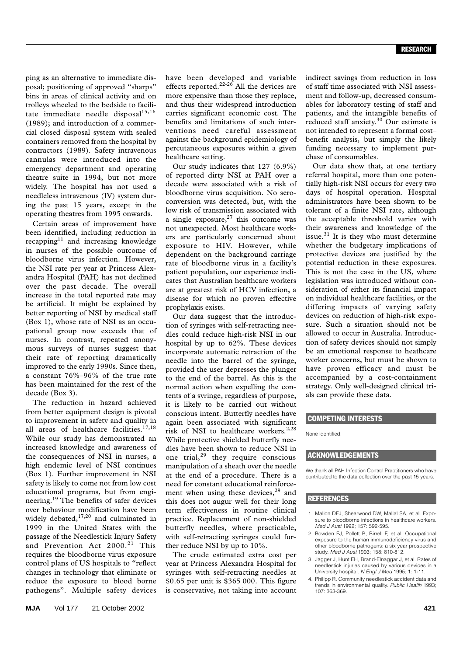ping as an alternative to immediate disposal; positioning of approved "sharps" bins in areas of clinical activity and on trolleys wheeled to the bedside to facilitate immediate needle disposal<sup>15,16</sup> (1989); and introduction of a commercial closed disposal system with sealed containers removed from the hospital by contractors (1989). Safety intravenous cannulas were introduced into the emergency department and operating theatre suite in 1994, but not more widely. The hospital has not used a needleless intravenous (IV) system during the past 15 years, except in the operating theatres from 1995 onwards.

Certain areas of improvement have been identified, including reduction in recapping $11$  and increasing knowledge in nurses of the possible outcome of bloodborne virus infection. However, the NSI rate per year at Princess Alexandra Hospital (PAH) has not declined over the past decade. The overall increase in the total reported rate may be artificial. It might be explained by better reporting of NSI by medical staff (Box 1), whose rate of NSI as an occupational group now exceeds that of nurses. In contrast, repeated anonymous surveys of nurses suggest that their rate of reporting dramatically improved to the early 1990s. Since then, a constant 76%–96% of the true rate has been maintained for the rest of the decade (Box 3).

The reduction in hazard achieved from better equipment design is pivotal to improvement in safety and quality in all areas of healthcare facilities.<sup>17,18</sup> While our study has demonstrated an increased knowledge and awareness of the consequences of NSI in nurses, a high endemic level of NSI continues (Box 1). Further improvement in NSI safety is likely to come not from low cost educational programs, but from engineering.19 The benefits of safer devices over behaviour modification have been widely debated,<sup>17,20</sup> and culminated in 1999 in the United States with the passage of the Needlestick Injury Safety and Prevention Act 2000.<sup>21</sup> This requires the bloodborne virus exposure control plans of US hospitals to "reflect changes in technology that eliminate or reduce the exposure to blood borne pathogens". Multiple safety devices

have been developed and variable effects reported.<sup>22-26</sup> All the devices are more expensive than those they replace, and thus their widespread introduction carries significant economic cost. The benefits and limitations of such interventions need careful assessment against the background epidemiology of percutaneous exposures within a given healthcare setting.

Our study indicates that 127 (6.9%) of reported dirty NSI at PAH over a decade were associated with a risk of bloodborne virus acquisition. No seroconversion was detected, but, with the low risk of transmission associated with a single exposure, $27$  this outcome was not unexpected. Most healthcare workers are particularly concerned about exposure to HIV. However, while dependent on the background carriage rate of bloodborne virus in a facility's patient population, our experience indicates that Australian healthcare workers are at greatest risk of HCV infection, a disease for which no proven effective prophylaxis exists.

Our data suggest that the introduction of syringes with self-retracting needles could reduce high-risk NSI in our hospital by up to 62%. These devices incorporate automatic retraction of the needle into the barrel of the syringe, provided the user depresses the plunger to the end of the barrel. As this is the normal action when expelling the contents of a syringe, regardless of purpose, it is likely to be carried out without conscious intent. Butterfly needles have again been associated with significant risk of NSI to healthcare workers.<sup>2,28</sup> While protective shielded butterfly needles have been shown to reduce NSI in one trial,29 they require conscious manipulation of a sheath over the needle at the end of a procedure. There is a need for constant educational reinforcement when using these devices, $29$  and this does not augur well for their long term effectiveness in routine clinical practice. Replacement of non-shielded butterfly needles, where practicable, with self-retracting syringes could further reduce NSI by up to 10%.

The crude estimated extra cost per year at Princess Alexandra Hospital for syringes with self-retracting needles at \$0.65 per unit is \$365 000. This figure is conservative, not taking into account

indirect savings from reduction in loss of staff time associated with NSI assessment and follow-up, decreased consumables for laboratory testing of staff and patients, and the intangible benefits of reduced staff anxiety. $30$  Our estimate is not intended to represent a formal cost– benefit analysis, but simply the likely funding necessary to implement purchase of consumables.

Our data show that, at one tertiary referral hospital, more than one potentially high-risk NSI occurs for every two days of hospital operation. Hospital administrators have been shown to be tolerant of a finite NSI rate, although the acceptable threshold varies with their awareness and knowledge of the issue. $31$  It is they who must determine whether the budgetary implications of protective devices are justified by the potential reduction in these exposures. This is not the case in the US, where legislation was introduced without consideration of either its financial impact on individual healthcare facilities, or the differing impacts of varying safety devices on reduction of high-risk exposure. Such a situation should not be allowed to occur in Australia. Introduction of safety devices should not simply be an emotional response to heathcare worker concerns, but must be shown to have proven efficacy and must be accompanied by a cost-containment strategy. Only well-designed clinical trials can provide these data.

#### COMPETING INTERESTS

None identified.

#### ACKNOWLEDGEMENTS

We thank all PAH Infection Control Practitioners who have contributed to the data collection over the past 15 years.

#### **REFERENCES**

- 1. Mallon DFJ, Shearwood DW, Mallal SA, et al. Exposure to bloodborne infections in healthcare workers. *Med J Aust* 1992; 157: 592-595.
- 2. Bowden FJ, Pollett B, Birrell F, et al. Occupational exposure to the human immunodeficiency virus and other bloodborne pathogens: a six year prospective study. *Med J Aust* 1993; 158: 810-812.
- 3. Jagger J, Hunt EH, Brand-Elnaggar J, et al. Rates of needlestick injuries caused by various devices in a University hospital. *N Engl J Med* 1995; 1: 1-11.
- 4. Philipp R. Community needlestick accident data and trends in environmental quality. *Public Health* 1993; 107: 363-369.